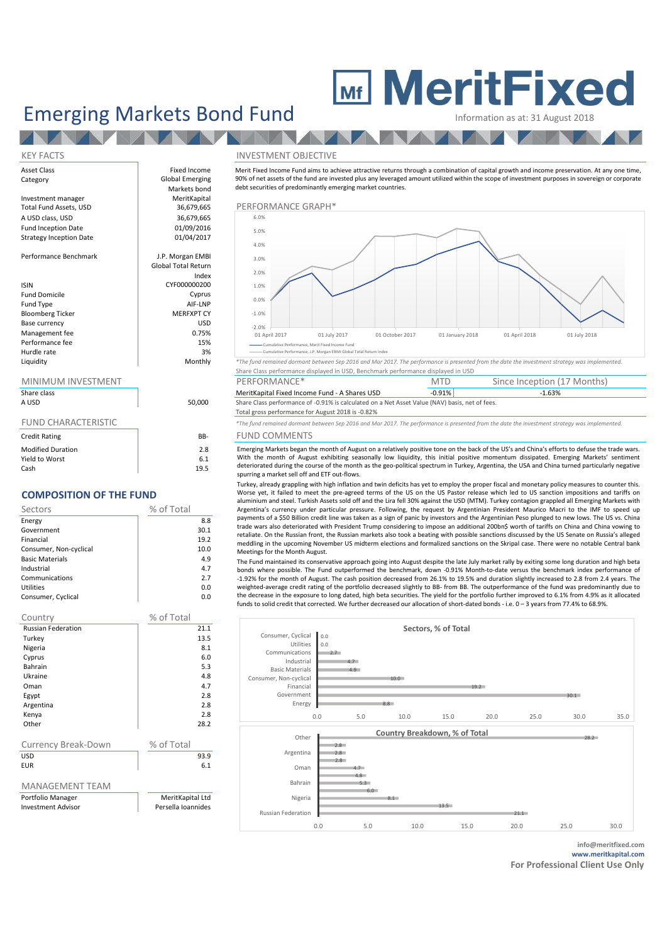### Emerging Markets Bond Fund Information as at: 31 August 2018

# **MeritFixed**

#### **ALCOHOL:** KEY FACTS INVESTMENT OBJECTIVE

| Asset Class                    | Fixed Income               | Merit Fixed Incom  |
|--------------------------------|----------------------------|--------------------|
| Category                       | Global Emerging            | 90% of net assets  |
|                                | Markets bond               | debt securities of |
| Investment manager             | MeritKapital               |                    |
| Total Fund Assets, USD         | 36,679,665                 | PERFORMAI          |
| A USD class, USD               | 36,679,665                 | 6.0%               |
| <b>Fund Inception Date</b>     | 01/09/2016                 | 5.0%               |
| <b>Strategy Inception Date</b> | 01/04/2017                 |                    |
|                                |                            | 4.0%               |
| Performance Benchmark          | J.P. Morgan EMBI           | 3.0%               |
|                                | <b>Global Total Return</b> |                    |
|                                | Index                      | 2.0%               |
| <b>ISIN</b>                    | CYF000000200               | 1.0%               |
| <b>Fund Domicile</b>           | Cyprus                     |                    |
| Fund Type                      | AIF-LNP                    | 0.0%               |
| <b>Bloomberg Ticker</b>        | <b>MERFXPT CY</b>          | $-1.0%$            |
| Base currency                  | <b>USD</b>                 | $-2.0%$            |
| Management fee                 | 0.75%                      | 01 April 2017      |
| Performance fee                | 15%                        | - Cumulative F     |
| Hurdle rate                    | 3%                         | - Cumulative F     |
|                                |                            |                    |

#### MINIMUM INVESTMENT

| Share class              |        | MeritKapital Fixed Income Fund - A Shares USD                                                                                                       | $-0.91\%$ |
|--------------------------|--------|-----------------------------------------------------------------------------------------------------------------------------------------------------|-----------|
| A USD                    | 50.000 | Share Class performance of -0.91% is calculated on a Net Asset Value (NAV) basis, net of fees.<br>Total gross performance for August 2018 is -0.82% |           |
| FUND CHARACTERISTIC      |        | *The fund remained dormant between Sep 2016 and Mar 2017. The performance is presented from th                                                      |           |
| <b>Credit Rating</b>     | BB-    | <b>FUND COMMENTS</b>                                                                                                                                |           |
| <b>Modified Duration</b> | 2.8    | Emerging Markets began the month of August on a relatively positive tone on the back of the                                                         |           |

| Yield to Worst | 6.1  |
|----------------|------|
| Cash           | 19.5 |
|                |      |

#### **COMPOSITION OF THE FUND**

| Sectors                | % of Total |
|------------------------|------------|
| Energy                 | 8.8        |
| Government             | 30.1       |
| Financial              | 19.2       |
| Consumer, Non-cyclical | 10.0       |
| <b>Basic Materials</b> | 4.9        |
| Industrial             | 4.7        |
| Communications         | 2.7        |
| Utilities              | 0.0        |
| Consumer, Cyclical     | 0.0        |

| Country                   | % of Total         |  |  |
|---------------------------|--------------------|--|--|
| <b>Russian Federation</b> | 21.1               |  |  |
| Turkey                    | 13.5               |  |  |
| Nigeria                   | 8.1                |  |  |
| Cyprus                    | 6.0                |  |  |
| Bahrain                   | 5.3                |  |  |
| Ukraine                   | 4.8                |  |  |
| Oman                      | 4.7                |  |  |
| Egypt                     | 2.8                |  |  |
| Argentina                 | 2.8                |  |  |
| Kenya                     | 2.8                |  |  |
| Other                     | 28.2               |  |  |
|                           |                    |  |  |
| Currency Break-Down       | % of Total         |  |  |
| USD                       | 93.9               |  |  |
| <b>EUR</b>                | 6.1                |  |  |
|                           |                    |  |  |
| <b>MANAGEMENT TEAM</b>    |                    |  |  |
| Portfolio Manager         | MeritKapital Ltd   |  |  |
| <b>Investment Advisor</b> | Persella Ioannides |  |  |
|                           |                    |  |  |





Merit Fixed Income Fund aims to achieve attractive returns through a combination of capital growth and income preservation. At any one time,

.<br>ce, J.P. Morgan EBMI Glo

Liquidity Monthly *\*The fund remained dormant between Sep 2016 and Mar 2017. The performance is presented from the date the investment strategy was implemented.* Share Class performance displayed in USD, Benchmark performance displayed in USD

| MINIMUM INVESTMENT |        | PERFORMANCE*                                                                                  | MT    | Since Inception (17 Months) |  |
|--------------------|--------|-----------------------------------------------------------------------------------------------|-------|-----------------------------|--|
| Share class        |        | MeritKapital Fixed Income Fund - A Shares USD                                                 | 0.91% | $-1.63%$                    |  |
| <b>A LISD</b>      | 50,000 | Share Class nerformance of -0.91% is calculated on a Net Asset Value (NAV) has is net of fees |       |                             |  |

FUND CHARACTERISTIC *\*The fund remained dormant between Sep 2016 and Mar 2017. The performance is presented from the date the investment strategy was implemented.*

#### B- FUND COMMENTS

Emerging Markets began the month of August on a relatively positive tone on the back of the US's and China's efforts to defuse the trade wars. With the month of August exhibiting seasonally low liquidity, this initial positive momentum dissipated. Emerging Markets' sentiment deteriorated during the course of the month as the geo-political spectrum in Turkey, Argentina, the USA and China turned particularly negative spurring a market sell off and ETF out-flows.

Turkey, already grappling with high inflation and twin deficits has yet to employ the proper fiscal and monetary policy measures to counter this. Worse yet, it failed to meet the pre-agreed terms of the US on the US Pastor release which led to US sanction impositions and tariffs on aluminium and steel. Turkish Assets sold off and the Lira fell 30% against the USD (MTM). Turkey contagion grappled all Emerging Markets with Argentina's currency under particular pressure. Following, the request by Argentinian President Maurico Macri to the IMF to speed up payments of a \$50 Billion credit line was taken as a sign of panic by investors and the Argentinian Peso plunged to new lows. The US vs. China trade wars also deteriorated with President Trump considering to impose an additional 200bn\$ worth of tariffs on China and China vowing to retaliate. On the Russian front, the Russian markets also took a beating with possible sanctions discussed by the US Senate on Russia's alleged meddling in the upcoming November US midterm elections and formalized sanctions on the Skripal case. There were no notable Central bank Meetings for the Month August.

The Fund maintained its conservative approach going into August despite the late July market rally by exiting some long duration and high beta bonds where possible. The Fund outperformed the benchmark, down -0.91% Month-to-date versus the benchmark index performance of -1.92% for the month of August. The cash position decreased from 26.1% to 19.5% and duration slightly increased to 2.8 from 2.4 years. The weighted-average credit rating of the portfolio decreased slightly to BB- from BB. The outperformance of the fund was predominantly due to the decrease in the exposure to long dated, high beta securities. The yield for the portfolio further improved to 6.1% from 4.9% as it allocated funds to solid credit that corrected. We further decreased our allocation of short-dated bonds - i.e. 0 – 3 years from 77.4% to 68.9%.



**info@meritfixed.com www.meritkapital.com**

**For Professional Client Use Only**